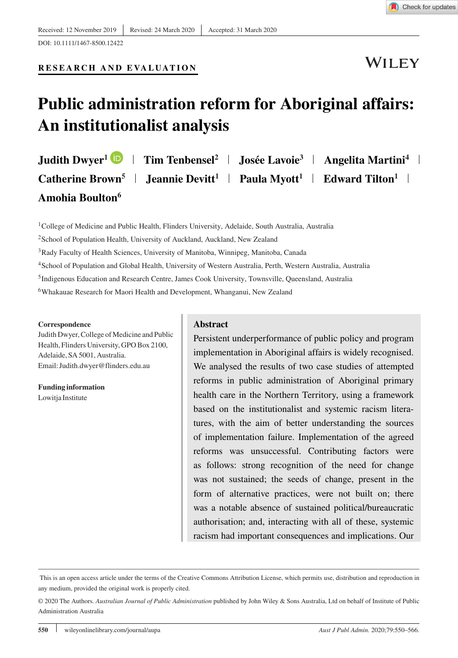

#### **RESEARCH AND EVALUATION**

**WILEY** 

## **Public administration reform for Aboriginal affairs: An institutionalist analysis**

Judith Dwyer<sup>1</sup> **D** | Tim Tenbensel<sup>2</sup> | Josée Lavoie<sup>3</sup> | Angelita Martini<sup>4</sup> | **Catherine Brown<sup>5</sup> | Jeannie Devitt<sup>1</sup> | Paula Myott<sup>1</sup> | Edward Tilton<sup>1</sup> | Amohia Boulton6**

<sup>1</sup>College of Medicine and Public Health, Flinders University, Adelaide, South Australia, Australia

<sup>2</sup>School of Population Health, University of Auckland, Auckland, New Zealand

3Rady Faculty of Health Sciences, University of Manitoba, Winnipeg, Manitoba, Canada

4School of Population and Global Health, University of Western Australia, Perth, Western Australia, Australia

5Indigenous Education and Research Centre, James Cook University, Townsville, Queensland, Australia

6Whakauae Research for Maori Health and Development, Whanganui, New Zealand

#### **Correspondence**

Judith Dwyer, College of Medicine and Public Health, Flinders University, GPO Box 2100, Adelaide, SA 5001, Australia. Email: Judith.dwyer@flinders.edu.au

**Funding information** Lowitja Institute

#### **Abstract**

Persistent underperformance of public policy and program implementation in Aboriginal affairs is widely recognised. We analysed the results of two case studies of attempted reforms in public administration of Aboriginal primary health care in the Northern Territory, using a framework based on the institutionalist and systemic racism literatures, with the aim of better understanding the sources of implementation failure. Implementation of the agreed reforms was unsuccessful. Contributing factors were as follows: strong recognition of the need for change was not sustained; the seeds of change, present in the form of alternative practices, were not built on; there was a notable absence of sustained political/bureaucratic authorisation; and, interacting with all of these, systemic racism had important consequences and implications. Our

This is an open access article under the terms of the [Creative Commons Attribution](http://creativecommons.org/licenses/by/4.0/) License, which permits use, distribution and reproduction in any medium, provided the original work is properly cited.

<sup>© 2020</sup> The Authors. *Australian Journal of Public Administration* published by John Wiley & Sons Australia, Ltd on behalf of Institute of Public Administration Australia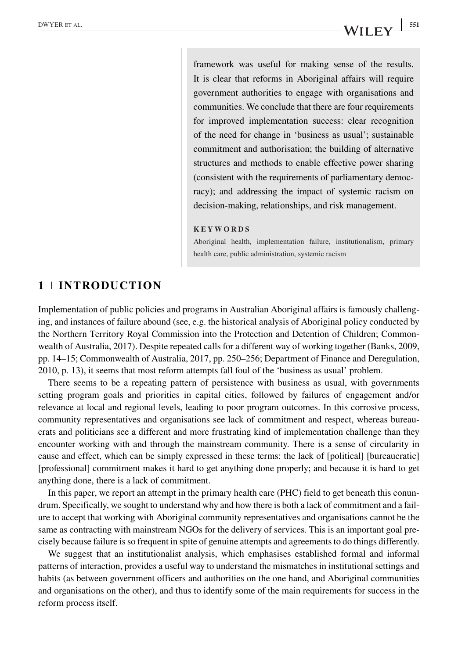## DWYER ET AL. **SIMPLE ET AL. 5511 SIMPLE ET AL. 5511 SIMPLE ET AL. 5511 SIMPLE ET AL. 5511 SIMPLE ET AL.**

framework was useful for making sense of the results. It is clear that reforms in Aboriginal affairs will require government authorities to engage with organisations and communities. We conclude that there are four requirements for improved implementation success: clear recognition of the need for change in 'business as usual'; sustainable commitment and authorisation; the building of alternative structures and methods to enable effective power sharing (consistent with the requirements of parliamentary democracy); and addressing the impact of systemic racism on decision-making, relationships, and risk management.

#### **KEYWORDS**

Aboriginal health, implementation failure, institutionalism, primary health care, public administration, systemic racism

## **1 INTRODUCTION**

Implementation of public policies and programs in Australian Aboriginal affairs is famously challenging, and instances of failure abound (see, e.g. the historical analysis of Aboriginal policy conducted by the Northern Territory Royal Commission into the Protection and Detention of Children; Commonwealth of Australia, 2017). Despite repeated calls for a different way of working together (Banks, 2009, pp. 14–15; Commonwealth of Australia, 2017, pp. 250–256; Department of Finance and Deregulation, 2010, p. 13), it seems that most reform attempts fall foul of the 'business as usual' problem.

There seems to be a repeating pattern of persistence with business as usual, with governments setting program goals and priorities in capital cities, followed by failures of engagement and/or relevance at local and regional levels, leading to poor program outcomes. In this corrosive process, community representatives and organisations see lack of commitment and respect, whereas bureaucrats and politicians see a different and more frustrating kind of implementation challenge than they encounter working with and through the mainstream community. There is a sense of circularity in cause and effect, which can be simply expressed in these terms: the lack of [political] [bureaucratic] [professional] commitment makes it hard to get anything done properly; and because it is hard to get anything done, there is a lack of commitment.

In this paper, we report an attempt in the primary health care (PHC) field to get beneath this conundrum. Specifically, we sought to understand why and how there is both a lack of commitment and a failure to accept that working with Aboriginal community representatives and organisations cannot be the same as contracting with mainstream NGOs for the delivery of services. This is an important goal precisely because failure is so frequent in spite of genuine attempts and agreements to do things differently.

We suggest that an institutionalist analysis, which emphasises established formal and informal patterns of interaction, provides a useful way to understand the mismatches in institutional settings and habits (as between government officers and authorities on the one hand, and Aboriginal communities and organisations on the other), and thus to identify some of the main requirements for success in the reform process itself.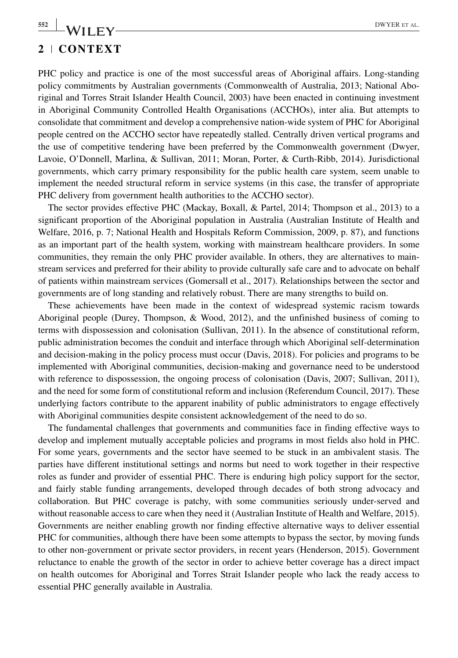# **2 CONTEXT**

PHC policy and practice is one of the most successful areas of Aboriginal affairs. Long-standing policy commitments by Australian governments (Commonwealth of Australia, 2013; National Aboriginal and Torres Strait Islander Health Council, 2003) have been enacted in continuing investment in Aboriginal Community Controlled Health Organisations (ACCHOs), inter alia. But attempts to consolidate that commitment and develop a comprehensive nation-wide system of PHC for Aboriginal people centred on the ACCHO sector have repeatedly stalled. Centrally driven vertical programs and the use of competitive tendering have been preferred by the Commonwealth government (Dwyer, Lavoie, O'Donnell, Marlina, & Sullivan, 2011; Moran, Porter, & Curth-Ribb, 2014). Jurisdictional governments, which carry primary responsibility for the public health care system, seem unable to implement the needed structural reform in service systems (in this case, the transfer of appropriate PHC delivery from government health authorities to the ACCHO sector).

The sector provides effective PHC (Mackay, Boxall, & Partel, 2014; Thompson et al., 2013) to a significant proportion of the Aboriginal population in Australia (Australian Institute of Health and Welfare, 2016, p. 7; National Health and Hospitals Reform Commission, 2009, p. 87), and functions as an important part of the health system, working with mainstream healthcare providers. In some communities, they remain the only PHC provider available. In others, they are alternatives to mainstream services and preferred for their ability to provide culturally safe care and to advocate on behalf of patients within mainstream services (Gomersall et al., 2017). Relationships between the sector and governments are of long standing and relatively robust. There are many strengths to build on.

These achievements have been made in the context of widespread systemic racism towards Aboriginal people (Durey, Thompson, & Wood, 2012), and the unfinished business of coming to terms with dispossession and colonisation (Sullivan, 2011). In the absence of constitutional reform, public administration becomes the conduit and interface through which Aboriginal self-determination and decision-making in the policy process must occur (Davis, 2018). For policies and programs to be implemented with Aboriginal communities, decision-making and governance need to be understood with reference to dispossession, the ongoing process of colonisation (Davis, 2007; Sullivan, 2011), and the need for some form of constitutional reform and inclusion (Referendum Council, 2017). These underlying factors contribute to the apparent inability of public administrators to engage effectively with Aboriginal communities despite consistent acknowledgement of the need to do so.

The fundamental challenges that governments and communities face in finding effective ways to develop and implement mutually acceptable policies and programs in most fields also hold in PHC. For some years, governments and the sector have seemed to be stuck in an ambivalent stasis. The parties have different institutional settings and norms but need to work together in their respective roles as funder and provider of essential PHC. There is enduring high policy support for the sector, and fairly stable funding arrangements, developed through decades of both strong advocacy and collaboration. But PHC coverage is patchy, with some communities seriously under-served and without reasonable access to care when they need it (Australian Institute of Health and Welfare, 2015). Governments are neither enabling growth nor finding effective alternative ways to deliver essential PHC for communities, although there have been some attempts to bypass the sector, by moving funds to other non-government or private sector providers, in recent years (Henderson, 2015). Government reluctance to enable the growth of the sector in order to achieve better coverage has a direct impact on health outcomes for Aboriginal and Torres Strait Islander people who lack the ready access to essential PHC generally available in Australia.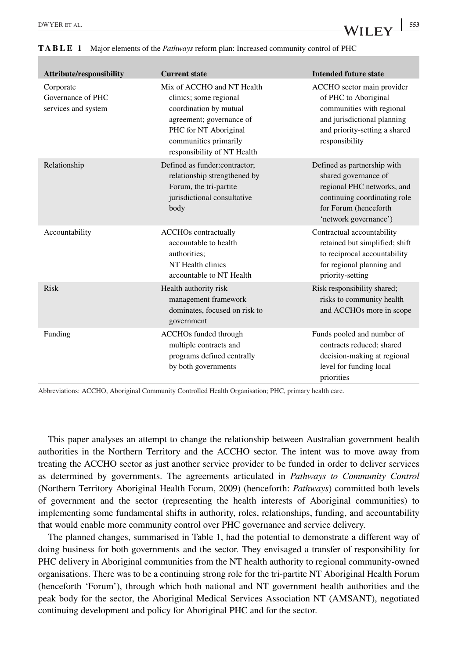| <b>Attribute/responsibility</b>                       | <b>Current state</b>                                                                                                                                                                        | <b>Intended future state</b>                                                                                                                                        |
|-------------------------------------------------------|---------------------------------------------------------------------------------------------------------------------------------------------------------------------------------------------|---------------------------------------------------------------------------------------------------------------------------------------------------------------------|
| Corporate<br>Governance of PHC<br>services and system | Mix of ACCHO and NT Health<br>clinics; some regional<br>coordination by mutual<br>agreement; governance of<br>PHC for NT Aboriginal<br>communities primarily<br>responsibility of NT Health | ACCHO sector main provider<br>of PHC to Aboriginal<br>communities with regional<br>and jurisdictional planning<br>and priority-setting a shared<br>responsibility   |
| Relationship                                          | Defined as funder:contractor;<br>relationship strengthened by<br>Forum, the tri-partite<br>jurisdictional consultative<br>body                                                              | Defined as partnership with<br>shared governance of<br>regional PHC networks, and<br>continuing coordinating role<br>for Forum (henceforth<br>'network governance') |
| Accountability                                        | <b>ACCHOs</b> contractually<br>accountable to health<br>authorities;<br>NT Health clinics<br>accountable to NT Health                                                                       | Contractual accountability<br>retained but simplified; shift<br>to reciprocal accountability<br>for regional planning and<br>priority-setting                       |
| Risk                                                  | Health authority risk<br>management framework<br>dominates, focused on risk to<br>government                                                                                                | Risk responsibility shared;<br>risks to community health<br>and ACCHOs more in scope                                                                                |
| Funding                                               | <b>ACCHOs</b> funded through<br>multiple contracts and<br>programs defined centrally<br>by both governments                                                                                 | Funds pooled and number of<br>contracts reduced; shared<br>decision-making at regional<br>level for funding local<br>priorities                                     |

**TABLE 1** Major elements of the *Pathways* reform plan: Increased community control of PHC

Abbreviations: ACCHO, Aboriginal Community Controlled Health Organisation; PHC, primary health care.

This paper analyses an attempt to change the relationship between Australian government health authorities in the Northern Territory and the ACCHO sector. The intent was to move away from treating the ACCHO sector as just another service provider to be funded in order to deliver services as determined by governments. The agreements articulated in *Pathways to Community Control* (Northern Territory Aboriginal Health Forum, 2009) (henceforth: *Pathways*) committed both levels of government and the sector (representing the health interests of Aboriginal communities) to implementing some fundamental shifts in authority, roles, relationships, funding, and accountability that would enable more community control over PHC governance and service delivery.

The planned changes, summarised in Table 1, had the potential to demonstrate a different way of doing business for both governments and the sector. They envisaged a transfer of responsibility for PHC delivery in Aboriginal communities from the NT health authority to regional community-owned organisations. There was to be a continuing strong role for the tri-partite NT Aboriginal Health Forum (henceforth 'Forum'), through which both national and NT government health authorities and the peak body for the sector, the Aboriginal Medical Services Association NT (AMSANT), negotiated continuing development and policy for Aboriginal PHC and for the sector.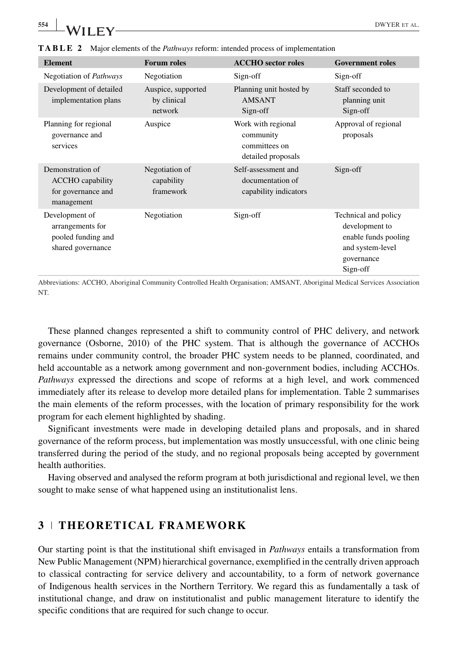| <b>Element</b>                                                                  | <b>Forum roles</b>                           | <b>ACCHO</b> sector roles                                              | <b>Government roles</b>                                                                                      |
|---------------------------------------------------------------------------------|----------------------------------------------|------------------------------------------------------------------------|--------------------------------------------------------------------------------------------------------------|
| Negotiation of <i>Pathways</i>                                                  | Negotiation                                  | Sign-off                                                               | Sign-off                                                                                                     |
| Development of detailed<br>implementation plans                                 | Auspice, supported<br>by clinical<br>network | Planning unit hosted by<br><b>AMSANT</b><br>Sign-off                   | Staff seconded to<br>planning unit<br>Sign-off                                                               |
| Planning for regional<br>governance and<br>services                             | Auspice                                      | Work with regional<br>community<br>committees on<br>detailed proposals | Approval of regional<br>proposals                                                                            |
| Demonstration of<br><b>ACCHO</b> capability<br>for governance and<br>management | Negotiation of<br>capability<br>framework    | Self-assessment and<br>documentation of<br>capability indicators       | Sign-off                                                                                                     |
| Development of<br>arrangements for<br>pooled funding and<br>shared governance   | Negotiation                                  | Sign-off                                                               | Technical and policy<br>development to<br>enable funds pooling<br>and system-level<br>governance<br>Sign-off |

**TABLE 2** Major elements of the *Pathways* reform: intended process of implementation

Abbreviations: ACCHO, Aboriginal Community Controlled Health Organisation; AMSANT, Aboriginal Medical Services Association NT.

These planned changes represented a shift to community control of PHC delivery, and network governance (Osborne, 2010) of the PHC system. That is although the governance of ACCHOs remains under community control, the broader PHC system needs to be planned, coordinated, and held accountable as a network among government and non-government bodies, including ACCHOs. *Pathways* expressed the directions and scope of reforms at a high level, and work commenced immediately after its release to develop more detailed plans for implementation. Table 2 summarises the main elements of the reform processes, with the location of primary responsibility for the work program for each element highlighted by shading.

Significant investments were made in developing detailed plans and proposals, and in shared governance of the reform process, but implementation was mostly unsuccessful, with one clinic being transferred during the period of the study, and no regional proposals being accepted by government health authorities.

Having observed and analysed the reform program at both jurisdictional and regional level, we then sought to make sense of what happened using an institutionalist lens.

#### **3 THEORETICAL FRAMEWORK**

Our starting point is that the institutional shift envisaged in *Pathways* entails a transformation from New Public Management (NPM) hierarchical governance, exemplified in the centrally driven approach to classical contracting for service delivery and accountability, to a form of network governance of Indigenous health services in the Northern Territory. We regard this as fundamentally a task of institutional change, and draw on institutionalist and public management literature to identify the specific conditions that are required for such change to occur.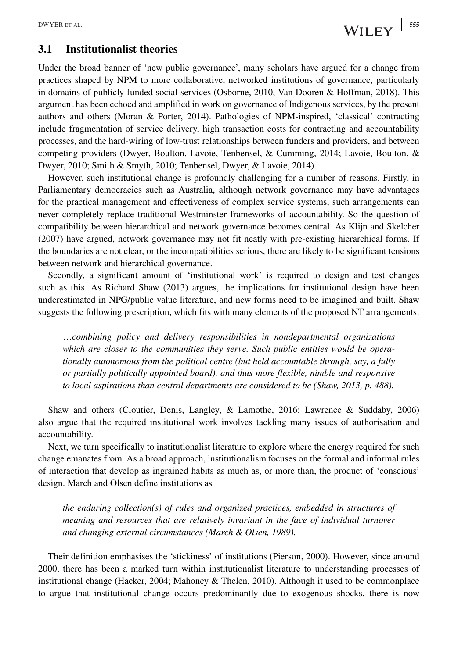## **3.1 Institutionalist theories**

Under the broad banner of 'new public governance', many scholars have argued for a change from practices shaped by NPM to more collaborative, networked institutions of governance, particularly in domains of publicly funded social services (Osborne, 2010, Van Dooren & Hoffman, 2018). This argument has been echoed and amplified in work on governance of Indigenous services, by the present authors and others (Moran & Porter, 2014). Pathologies of NPM-inspired, 'classical' contracting include fragmentation of service delivery, high transaction costs for contracting and accountability processes, and the hard-wiring of low-trust relationships between funders and providers, and between competing providers (Dwyer, Boulton, Lavoie, Tenbensel, & Cumming, 2014; Lavoie, Boulton, & Dwyer, 2010; Smith & Smyth, 2010; Tenbensel, Dwyer, & Lavoie, 2014).

However, such institutional change is profoundly challenging for a number of reasons. Firstly, in Parliamentary democracies such as Australia, although network governance may have advantages for the practical management and effectiveness of complex service systems, such arrangements can never completely replace traditional Westminster frameworks of accountability. So the question of compatibility between hierarchical and network governance becomes central. As Klijn and Skelcher (2007) have argued, network governance may not fit neatly with pre-existing hierarchical forms. If the boundaries are not clear, or the incompatibilities serious, there are likely to be significant tensions between network and hierarchical governance.

Secondly, a significant amount of 'institutional work' is required to design and test changes such as this. As Richard Shaw (2013) argues, the implications for institutional design have been underestimated in NPG/public value literature, and new forms need to be imagined and built. Shaw suggests the following prescription, which fits with many elements of the proposed NT arrangements:

…*combining policy and delivery responsibilities in nondepartmental organizations which are closer to the communities they serve. Such public entities would be operationally autonomous from the political centre (but held accountable through, say, a fully or partially politically appointed board), and thus more flexible, nimble and responsive to local aspirations than central departments are considered to be (Shaw, 2013, p. 488).*

Shaw and others (Cloutier, Denis, Langley, & Lamothe, 2016; Lawrence & Suddaby, 2006) also argue that the required institutional work involves tackling many issues of authorisation and accountability.

Next, we turn specifically to institutionalist literature to explore where the energy required for such change emanates from. As a broad approach, institutionalism focuses on the formal and informal rules of interaction that develop as ingrained habits as much as, or more than, the product of 'conscious' design. March and Olsen define institutions as

*the enduring collection(s) of rules and organized practices, embedded in structures of meaning and resources that are relatively invariant in the face of individual turnover and changing external circumstances (March & Olsen, 1989).*

Their definition emphasises the 'stickiness' of institutions (Pierson, 2000). However, since around 2000, there has been a marked turn within institutionalist literature to understanding processes of institutional change (Hacker, 2004; Mahoney & Thelen, 2010). Although it used to be commonplace to argue that institutional change occurs predominantly due to exogenous shocks, there is now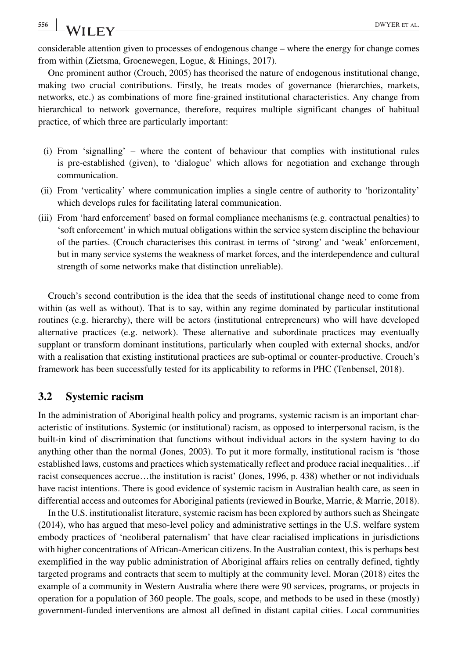considerable attention given to processes of endogenous change – where the energy for change comes from within (Zietsma, Groenewegen, Logue, & Hinings, 2017).

One prominent author (Crouch, 2005) has theorised the nature of endogenous institutional change, making two crucial contributions. Firstly, he treats modes of governance (hierarchies, markets, networks, etc.) as combinations of more fine-grained institutional characteristics. Any change from hierarchical to network governance, therefore, requires multiple significant changes of habitual practice, of which three are particularly important:

- (i) From 'signalling' where the content of behaviour that complies with institutional rules is pre-established (given), to 'dialogue' which allows for negotiation and exchange through communication.
- (ii) From 'verticality' where communication implies a single centre of authority to 'horizontality' which develops rules for facilitating lateral communication.
- (iii) From 'hard enforcement' based on formal compliance mechanisms (e.g. contractual penalties) to 'soft enforcement' in which mutual obligations within the service system discipline the behaviour of the parties. (Crouch characterises this contrast in terms of 'strong' and 'weak' enforcement, but in many service systems the weakness of market forces, and the interdependence and cultural strength of some networks make that distinction unreliable).

Crouch's second contribution is the idea that the seeds of institutional change need to come from within (as well as without). That is to say, within any regime dominated by particular institutional routines (e.g. hierarchy), there will be actors (institutional entrepreneurs) who will have developed alternative practices (e.g. network). These alternative and subordinate practices may eventually supplant or transform dominant institutions, particularly when coupled with external shocks, and/or with a realisation that existing institutional practices are sub-optimal or counter-productive. Crouch's framework has been successfully tested for its applicability to reforms in PHC (Tenbensel, 2018).

#### **3.2 Systemic racism**

In the administration of Aboriginal health policy and programs, systemic racism is an important characteristic of institutions. Systemic (or institutional) racism, as opposed to interpersonal racism, is the built-in kind of discrimination that functions without individual actors in the system having to do anything other than the normal (Jones, 2003). To put it more formally, institutional racism is 'those established laws, customs and practices which systematically reflect and produce racial inequalities…if racist consequences accrue…the institution is racist' (Jones, 1996, p. 438) whether or not individuals have racist intentions. There is good evidence of systemic racism in Australian health care, as seen in differential access and outcomes for Aboriginal patients (reviewed in Bourke, Marrie, & Marrie, 2018).

In the U.S. institutionalist literature, systemic racism has been explored by authors such as Sheingate (2014), who has argued that meso-level policy and administrative settings in the U.S. welfare system embody practices of 'neoliberal paternalism' that have clear racialised implications in jurisdictions with higher concentrations of African-American citizens. In the Australian context, this is perhaps best exemplified in the way public administration of Aboriginal affairs relies on centrally defined, tightly targeted programs and contracts that seem to multiply at the community level. Moran (2018) cites the example of a community in Western Australia where there were 90 services, programs, or projects in operation for a population of 360 people. The goals, scope, and methods to be used in these (mostly) government-funded interventions are almost all defined in distant capital cities. Local communities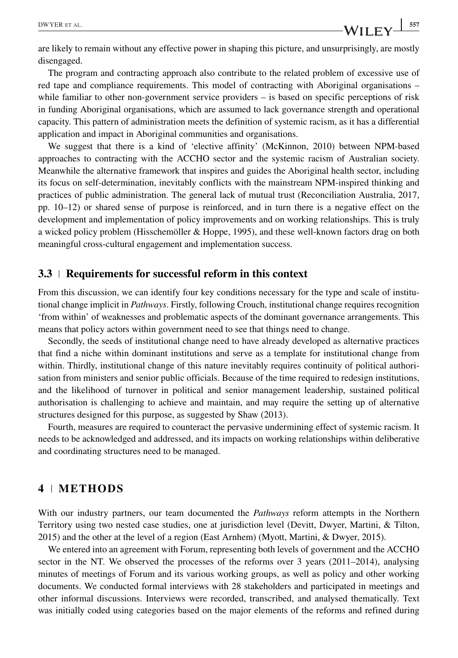are likely to remain without any effective power in shaping this picture, and unsurprisingly, are mostly disengaged.

The program and contracting approach also contribute to the related problem of excessive use of red tape and compliance requirements. This model of contracting with Aboriginal organisations – while familiar to other non-government service providers – is based on specific perceptions of risk in funding Aboriginal organisations, which are assumed to lack governance strength and operational capacity. This pattern of administration meets the definition of systemic racism, as it has a differential application and impact in Aboriginal communities and organisations.

We suggest that there is a kind of 'elective affinity' (McKinnon, 2010) between NPM-based approaches to contracting with the ACCHO sector and the systemic racism of Australian society. Meanwhile the alternative framework that inspires and guides the Aboriginal health sector, including its focus on self-determination, inevitably conflicts with the mainstream NPM-inspired thinking and practices of public administration. The general lack of mutual trust (Reconciliation Australia, 2017, pp. 10–12) or shared sense of purpose is reinforced, and in turn there is a negative effect on the development and implementation of policy improvements and on working relationships. This is truly a wicked policy problem (Hisschemöller & Hoppe, 1995), and these well-known factors drag on both meaningful cross-cultural engagement and implementation success.

#### **3.3 Requirements for successful reform in this context**

From this discussion, we can identify four key conditions necessary for the type and scale of institutional change implicit in *Pathways*. Firstly, following Crouch, institutional change requires recognition 'from within' of weaknesses and problematic aspects of the dominant governance arrangements. This means that policy actors within government need to see that things need to change.

Secondly, the seeds of institutional change need to have already developed as alternative practices that find a niche within dominant institutions and serve as a template for institutional change from within. Thirdly, institutional change of this nature inevitably requires continuity of political authorisation from ministers and senior public officials. Because of the time required to redesign institutions, and the likelihood of turnover in political and senior management leadership, sustained political authorisation is challenging to achieve and maintain, and may require the setting up of alternative structures designed for this purpose, as suggested by Shaw (2013).

Fourth, measures are required to counteract the pervasive undermining effect of systemic racism. It needs to be acknowledged and addressed, and its impacts on working relationships within deliberative and coordinating structures need to be managed.

#### **4 METHODS**

With our industry partners, our team documented the *Pathways* reform attempts in the Northern Territory using two nested case studies, one at jurisdiction level (Devitt, Dwyer, Martini, & Tilton, 2015) and the other at the level of a region (East Arnhem) (Myott, Martini, & Dwyer, 2015).

We entered into an agreement with Forum, representing both levels of government and the ACCHO sector in the NT. We observed the processes of the reforms over 3 years (2011–2014), analysing minutes of meetings of Forum and its various working groups, as well as policy and other working documents. We conducted formal interviews with 28 stakeholders and participated in meetings and other informal discussions. Interviews were recorded, transcribed, and analysed thematically. Text was initially coded using categories based on the major elements of the reforms and refined during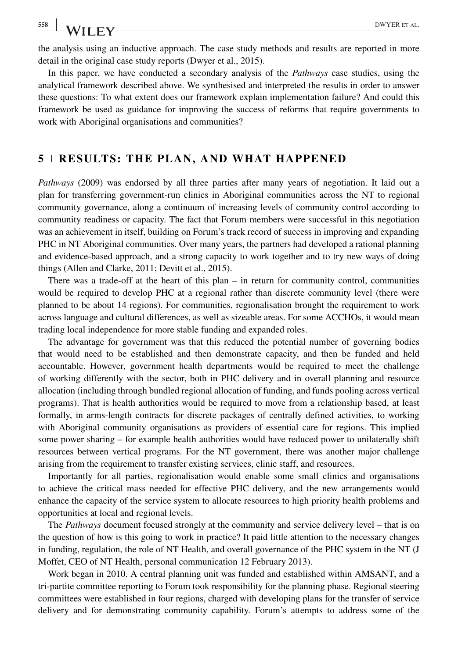**558** WII FY——————————————————————————————DWYER ET AL.

the analysis using an inductive approach. The case study methods and results are reported in more detail in the original case study reports (Dwyer et al., 2015).

In this paper, we have conducted a secondary analysis of the *Pathways* case studies, using the analytical framework described above. We synthesised and interpreted the results in order to answer these questions: To what extent does our framework explain implementation failure? And could this framework be used as guidance for improving the success of reforms that require governments to work with Aboriginal organisations and communities?

#### **5 RESULTS: THE PLAN, AND WHAT HAPPENED**

*Pathways* (2009) was endorsed by all three parties after many years of negotiation. It laid out a plan for transferring government-run clinics in Aboriginal communities across the NT to regional community governance, along a continuum of increasing levels of community control according to community readiness or capacity. The fact that Forum members were successful in this negotiation was an achievement in itself, building on Forum's track record of success in improving and expanding PHC in NT Aboriginal communities. Over many years, the partners had developed a rational planning and evidence-based approach, and a strong capacity to work together and to try new ways of doing things (Allen and Clarke, 2011; Devitt et al., 2015).

There was a trade-off at the heart of this plan – in return for community control, communities would be required to develop PHC at a regional rather than discrete community level (there were planned to be about 14 regions). For communities, regionalisation brought the requirement to work across language and cultural differences, as well as sizeable areas. For some ACCHOs, it would mean trading local independence for more stable funding and expanded roles.

The advantage for government was that this reduced the potential number of governing bodies that would need to be established and then demonstrate capacity, and then be funded and held accountable. However, government health departments would be required to meet the challenge of working differently with the sector, both in PHC delivery and in overall planning and resource allocation (including through bundled regional allocation of funding, and funds pooling across vertical programs). That is health authorities would be required to move from a relationship based, at least formally, in arms-length contracts for discrete packages of centrally defined activities, to working with Aboriginal community organisations as providers of essential care for regions. This implied some power sharing – for example health authorities would have reduced power to unilaterally shift resources between vertical programs. For the NT government, there was another major challenge arising from the requirement to transfer existing services, clinic staff, and resources.

Importantly for all parties, regionalisation would enable some small clinics and organisations to achieve the critical mass needed for effective PHC delivery, and the new arrangements would enhance the capacity of the service system to allocate resources to high priority health problems and opportunities at local and regional levels.

The *Pathways* document focused strongly at the community and service delivery level – that is on the question of how is this going to work in practice? It paid little attention to the necessary changes in funding, regulation, the role of NT Health, and overall governance of the PHC system in the NT (J Moffet, CEO of NT Health, personal communication 12 February 2013).

Work began in 2010. A central planning unit was funded and established within AMSANT, and a tri-partite committee reporting to Forum took responsibility for the planning phase. Regional steering committees were established in four regions, charged with developing plans for the transfer of service delivery and for demonstrating community capability. Forum's attempts to address some of the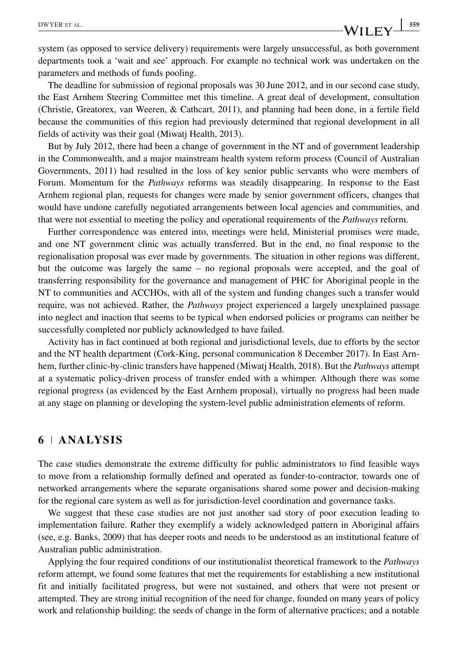system (as opposed to service delivery) requirements were largely unsuccessful, as both government departments took a 'wait and see' approach. For example no technical work was undertaken on the parameters and methods of funds pooling.

The deadline for submission of regional proposals was 30 June 2012, and in our second case study, the East Arnhem Steering Committee met this timeline. A great deal of development, consultation (Christie, Greatorex, van Weeren, & Cathcart, 2011), and planning had been done, in a fertile field because the communities of this region had previously determined that regional development in all fields of activity was their goal (Miwatj Health, 2013).

But by July 2012, there had been a change of government in the NT and of government leadership in the Commonwealth, and a major mainstream health system reform process (Council of Australian Governments, 2011) had resulted in the loss of key senior public servants who were members of Forum. Momentum for the *Pathways* reforms was steadily disappearing. In response to the East Arnhem regional plan, requests for changes were made by senior government officers, changes that would have undone carefully negotiated arrangements between local agencies and communities, and that were not essential to meeting the policy and operational requirements of the *Pathways* reform.

Further correspondence was entered into, meetings were held, Ministerial promises were made, and one NT government clinic was actually transferred. But in the end, no final response to the regionalisation proposal was ever made by governments. The situation in other regions was different, but the outcome was largely the same – no regional proposals were accepted, and the goal of transferring responsibility for the governance and management of PHC for Aboriginal people in the NT to communities and ACCHOs, with all of the system and funding changes such a transfer would require, was not achieved. Rather, the *Pathways* project experienced a largely unexplained passage into neglect and inaction that seems to be typical when endorsed policies or programs can neither be successfully completed nor publicly acknowledged to have failed.

Activity has in fact continued at both regional and jurisdictional levels, due to efforts by the sector and the NT health department (Cork-King, personal communication 8 December 2017). In East Arnhem, further clinic-by-clinic transfers have happened (Miwatj Health, 2018). But the *Pathways* attempt at a systematic policy-driven process of transfer ended with a whimper. Although there was some regional progress (as evidenced by the East Arnhem proposal), virtually no progress had been made at any stage on planning or developing the system-level public administration elements of reform.

#### **6 ANALYSIS**

The case studies demonstrate the extreme difficulty for public administrators to find feasible ways to move from a relationship formally defined and operated as funder-to-contractor, towards one of networked arrangements where the separate organisations shared some power and decision-making for the regional care system as well as for jurisdiction-level coordination and governance tasks.

We suggest that these case studies are not just another sad story of poor execution leading to implementation failure. Rather they exemplify a widely acknowledged pattern in Aboriginal affairs (see, e.g. Banks, 2009) that has deeper roots and needs to be understood as an institutional feature of Australian public administration.

Applying the four required conditions of our institutionalist theoretical framework to the *Pathways* reform attempt, we found some features that met the requirements for establishing a new institutional fit and initially facilitated progress, but were not sustained, and others that were not present or attempted. They are strong initial recognition of the need for change, founded on many years of policy work and relationship building; the seeds of change in the form of alternative practices; and a notable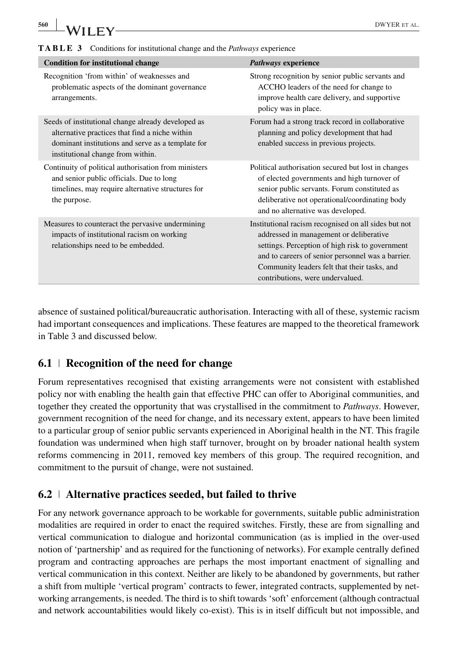| , , <u>, , ,</u> ,                                                                                                                                                                             |                                                                                                                                                                                                                                                                                             |  |
|------------------------------------------------------------------------------------------------------------------------------------------------------------------------------------------------|---------------------------------------------------------------------------------------------------------------------------------------------------------------------------------------------------------------------------------------------------------------------------------------------|--|
| <b>TABLE 3</b> Conditions for institutional change and the <i>Pathways</i> experience                                                                                                          |                                                                                                                                                                                                                                                                                             |  |
| <b>Condition for institutional change</b>                                                                                                                                                      | Pathways experience                                                                                                                                                                                                                                                                         |  |
| Recognition 'from within' of weaknesses and<br>problematic aspects of the dominant governance<br>arrangements.                                                                                 | Strong recognition by senior public servants and<br>ACCHO leaders of the need for change to<br>improve health care delivery, and supportive<br>policy was in place.                                                                                                                         |  |
| Seeds of institutional change already developed as<br>alternative practices that find a niche within<br>dominant institutions and serve as a template for<br>institutional change from within. | Forum had a strong track record in collaborative<br>planning and policy development that had<br>enabled success in previous projects.                                                                                                                                                       |  |
| Continuity of political authorisation from ministers<br>and senior public officials. Due to long<br>timelines, may require alternative structures for<br>the purpose.                          | Political authorisation secured but lost in changes<br>of elected governments and high turnover of<br>senior public servants. Forum constituted as<br>deliberative not operational/coordinating body<br>and no alternative was developed.                                                   |  |
| Measures to counteract the pervasive undermining<br>impacts of institutional racism on working<br>relationships need to be embedded.                                                           | Institutional racism recognised on all sides but not<br>addressed in management or deliberative<br>settings. Perception of high risk to government<br>and to careers of senior personnel was a barrier.<br>Community leaders felt that their tasks, and<br>contributions, were undervalued. |  |

absence of sustained political/bureaucratic authorisation. Interacting with all of these, systemic racism had important consequences and implications. These features are mapped to the theoretical framework in Table 3 and discussed below.

#### **6.1 Recognition of the need for change**

Forum representatives recognised that existing arrangements were not consistent with established policy nor with enabling the health gain that effective PHC can offer to Aboriginal communities, and together they created the opportunity that was crystallised in the commitment to *Pathways*. However, government recognition of the need for change, and its necessary extent, appears to have been limited to a particular group of senior public servants experienced in Aboriginal health in the NT. This fragile foundation was undermined when high staff turnover, brought on by broader national health system reforms commencing in 2011, removed key members of this group. The required recognition, and commitment to the pursuit of change, were not sustained.

#### **6.2 Alternative practices seeded, but failed to thrive**

For any network governance approach to be workable for governments, suitable public administration modalities are required in order to enact the required switches. Firstly, these are from signalling and vertical communication to dialogue and horizontal communication (as is implied in the over-used notion of 'partnership' and as required for the functioning of networks). For example centrally defined program and contracting approaches are perhaps the most important enactment of signalling and vertical communication in this context. Neither are likely to be abandoned by governments, but rather a shift from multiple 'vertical program' contracts to fewer, integrated contracts, supplemented by networking arrangements, is needed. The third is to shift towards 'soft' enforcement (although contractual and network accountabilities would likely co-exist). This is in itself difficult but not impossible, and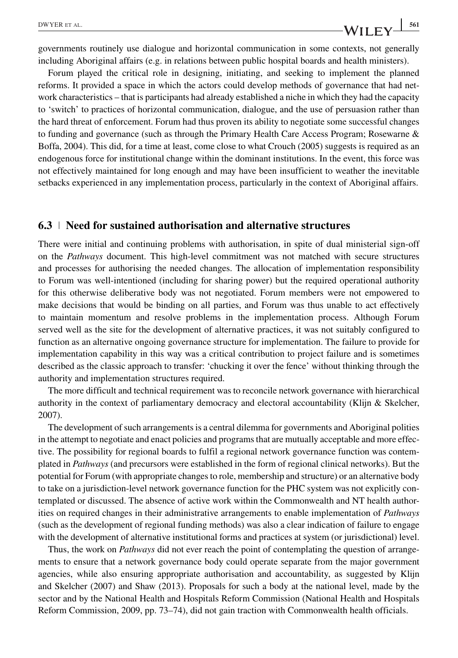DWYER ET AL. 561

governments routinely use dialogue and horizontal communication in some contexts, not generally including Aboriginal affairs (e.g. in relations between public hospital boards and health ministers).

Forum played the critical role in designing, initiating, and seeking to implement the planned reforms. It provided a space in which the actors could develop methods of governance that had network characteristics – that is participants had already established a niche in which they had the capacity to 'switch' to practices of horizontal communication, dialogue, and the use of persuasion rather than the hard threat of enforcement. Forum had thus proven its ability to negotiate some successful changes to funding and governance (such as through the Primary Health Care Access Program; Rosewarne & Boffa, 2004). This did, for a time at least, come close to what Crouch (2005) suggests is required as an endogenous force for institutional change within the dominant institutions. In the event, this force was not effectively maintained for long enough and may have been insufficient to weather the inevitable setbacks experienced in any implementation process, particularly in the context of Aboriginal affairs.

#### **6.3 Need for sustained authorisation and alternative structures**

There were initial and continuing problems with authorisation, in spite of dual ministerial sign-off on the *Pathways* document. This high-level commitment was not matched with secure structures and processes for authorising the needed changes. The allocation of implementation responsibility to Forum was well-intentioned (including for sharing power) but the required operational authority for this otherwise deliberative body was not negotiated. Forum members were not empowered to make decisions that would be binding on all parties, and Forum was thus unable to act effectively to maintain momentum and resolve problems in the implementation process. Although Forum served well as the site for the development of alternative practices, it was not suitably configured to function as an alternative ongoing governance structure for implementation. The failure to provide for implementation capability in this way was a critical contribution to project failure and is sometimes described as the classic approach to transfer: 'chucking it over the fence' without thinking through the authority and implementation structures required.

The more difficult and technical requirement was to reconcile network governance with hierarchical authority in the context of parliamentary democracy and electoral accountability (Klijn & Skelcher, 2007).

The development of such arrangements is a central dilemma for governments and Aboriginal polities in the attempt to negotiate and enact policies and programs that are mutually acceptable and more effective. The possibility for regional boards to fulfil a regional network governance function was contemplated in *Pathways* (and precursors were established in the form of regional clinical networks). But the potential for Forum (with appropriate changes to role, membership and structure) or an alternative body to take on a jurisdiction-level network governance function for the PHC system was not explicitly contemplated or discussed. The absence of active work within the Commonwealth and NT health authorities on required changes in their administrative arrangements to enable implementation of *Pathways* (such as the development of regional funding methods) was also a clear indication of failure to engage with the development of alternative institutional forms and practices at system (or jurisdictional) level.

Thus, the work on *Pathways* did not ever reach the point of contemplating the question of arrangements to ensure that a network governance body could operate separate from the major government agencies, while also ensuring appropriate authorisation and accountability, as suggested by Klijn and Skelcher (2007) and Shaw (2013). Proposals for such a body at the national level, made by the sector and by the National Health and Hospitals Reform Commission (National Health and Hospitals Reform Commission, 2009, pp. 73–74), did not gain traction with Commonwealth health officials.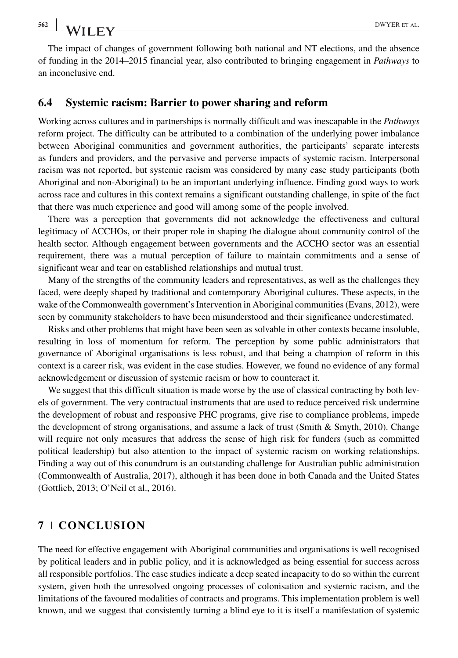The impact of changes of government following both national and NT elections, and the absence of funding in the 2014–2015 financial year, also contributed to bringing engagement in *Pathways* to an inconclusive end.

#### **6.4 Systemic racism: Barrier to power sharing and reform**

Working across cultures and in partnerships is normally difficult and was inescapable in the *Pathways* reform project. The difficulty can be attributed to a combination of the underlying power imbalance between Aboriginal communities and government authorities, the participants' separate interests as funders and providers, and the pervasive and perverse impacts of systemic racism. Interpersonal racism was not reported, but systemic racism was considered by many case study participants (both Aboriginal and non-Aboriginal) to be an important underlying influence. Finding good ways to work across race and cultures in this context remains a significant outstanding challenge, in spite of the fact that there was much experience and good will among some of the people involved.

There was a perception that governments did not acknowledge the effectiveness and cultural legitimacy of ACCHOs, or their proper role in shaping the dialogue about community control of the health sector. Although engagement between governments and the ACCHO sector was an essential requirement, there was a mutual perception of failure to maintain commitments and a sense of significant wear and tear on established relationships and mutual trust.

Many of the strengths of the community leaders and representatives, as well as the challenges they faced, were deeply shaped by traditional and contemporary Aboriginal cultures. These aspects, in the wake of the Commonwealth government's Intervention in Aboriginal communities (Evans, 2012), were seen by community stakeholders to have been misunderstood and their significance underestimated.

Risks and other problems that might have been seen as solvable in other contexts became insoluble, resulting in loss of momentum for reform. The perception by some public administrators that governance of Aboriginal organisations is less robust, and that being a champion of reform in this context is a career risk, was evident in the case studies. However, we found no evidence of any formal acknowledgement or discussion of systemic racism or how to counteract it.

We suggest that this difficult situation is made worse by the use of classical contracting by both levels of government. The very contractual instruments that are used to reduce perceived risk undermine the development of robust and responsive PHC programs, give rise to compliance problems, impede the development of strong organisations, and assume a lack of trust (Smith & Smyth, 2010). Change will require not only measures that address the sense of high risk for funders (such as committed political leadership) but also attention to the impact of systemic racism on working relationships. Finding a way out of this conundrum is an outstanding challenge for Australian public administration (Commonwealth of Australia, 2017), although it has been done in both Canada and the United States (Gottlieb, 2013; O'Neil et al., 2016).

#### **7 CONCLUSION**

The need for effective engagement with Aboriginal communities and organisations is well recognised by political leaders and in public policy, and it is acknowledged as being essential for success across all responsible portfolios. The case studies indicate a deep seated incapacity to do so within the current system, given both the unresolved ongoing processes of colonisation and systemic racism, and the limitations of the favoured modalities of contracts and programs. This implementation problem is well known, and we suggest that consistently turning a blind eye to it is itself a manifestation of systemic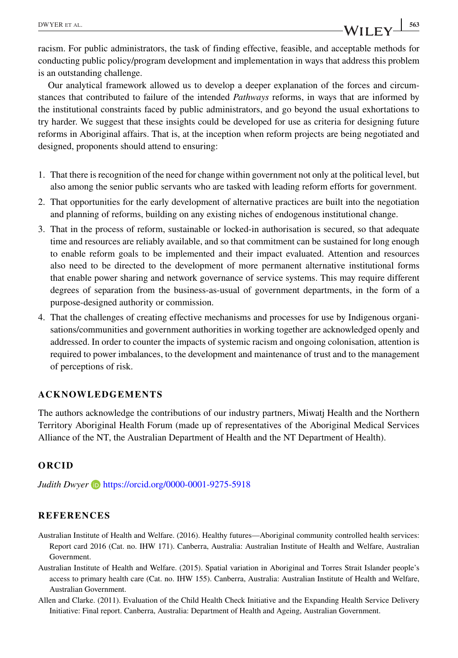racism. For public administrators, the task of finding effective, feasible, and acceptable methods for conducting public policy/program development and implementation in ways that address this problem is an outstanding challenge.

Our analytical framework allowed us to develop a deeper explanation of the forces and circumstances that contributed to failure of the intended *Pathways* reforms, in ways that are informed by the institutional constraints faced by public administrators, and go beyond the usual exhortations to try harder. We suggest that these insights could be developed for use as criteria for designing future reforms in Aboriginal affairs. That is, at the inception when reform projects are being negotiated and designed, proponents should attend to ensuring:

- 1. That there is recognition of the need for change within government not only at the political level, but also among the senior public servants who are tasked with leading reform efforts for government.
- 2. That opportunities for the early development of alternative practices are built into the negotiation and planning of reforms, building on any existing niches of endogenous institutional change.
- 3. That in the process of reform, sustainable or locked-in authorisation is secured, so that adequate time and resources are reliably available, and so that commitment can be sustained for long enough to enable reform goals to be implemented and their impact evaluated. Attention and resources also need to be directed to the development of more permanent alternative institutional forms that enable power sharing and network governance of service systems. This may require different degrees of separation from the business-as-usual of government departments, in the form of a purpose-designed authority or commission.
- 4. That the challenges of creating effective mechanisms and processes for use by Indigenous organisations/communities and government authorities in working together are acknowledged openly and addressed. In order to counter the impacts of systemic racism and ongoing colonisation, attention is required to power imbalances, to the development and maintenance of trust and to the management of perceptions of risk.

#### **ACKNOWLEDGEMENTS**

The authors acknowledge the contributions of our industry partners, Miwatj Health and the Northern Territory Aboriginal Health Forum (made up of representatives of the Aboriginal Medical Services Alliance of the NT, the Australian Department of Health and the NT Department of Health).

#### **ORCID**

*Judith Dwyer* **b** <https://orcid.org/0000-0001-9275-5918>

#### **REFERENCES**

- Australian Institute of Health and Welfare. (2016). Healthy futures—Aboriginal community controlled health services: Report card 2016 (Cat. no. IHW 171). Canberra, Australia: Australian Institute of Health and Welfare, Australian Government.
- Australian Institute of Health and Welfare. (2015). Spatial variation in Aboriginal and Torres Strait Islander people's access to primary health care (Cat. no. IHW 155). Canberra, Australia: Australian Institute of Health and Welfare, Australian Government.
- Allen and Clarke. (2011). Evaluation of the Child Health Check Initiative and the Expanding Health Service Delivery Initiative: Final report. Canberra, Australia: Department of Health and Ageing, Australian Government.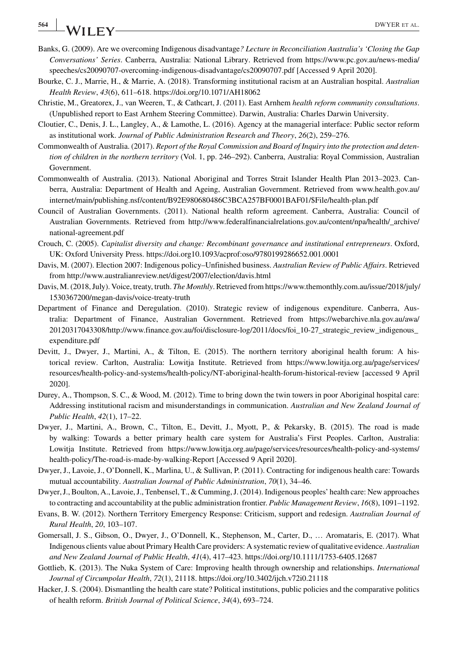# **564 I A/II FV DWYER ET AL.**

- Banks, G. (2009). Are we overcoming Indigenous disadvantage*? Lecture in Reconciliation Australia's 'Closing the Gap Conversations' Series*. Canberra, Australia: National Library. Retrieved from [https://www.pc.gov.au/news-media/](https://www.pc.gov.au/news-media/speeches/cs20090707-overcoming-indigenous-disadvantage/cs20090707.pdf) [speeches/cs20090707-overcoming-indigenous-disadvantage/cs20090707.pdf](https://www.pc.gov.au/news-media/speeches/cs20090707-overcoming-indigenous-disadvantage/cs20090707.pdf) [Accessed 9 April 2020].
- Bourke, C. J., Marrie, H., & Marrie, A. (2018). Transforming institutional racism at an Australian hospital. *Australian Health Review*, *43*(6), 611–618.<https://doi.org/10.1071/AH18062>
- Christie, M., Greatorex, J., van Weeren, T., & Cathcart, J. (2011). East Arnhem *health reform community consultations*. (Unpublished report to East Arnhem Steering Committee). Darwin, Australia: Charles Darwin University.
- Cloutier, C., Denis, J. L., Langley, A., & Lamothe, L. (2016). Agency at the managerial interface: Public sector reform as institutional work. *Journal of Public Administration Research and Theory*, *26*(2), 259–276.
- Commonwealth of Australia. (2017). *Report of the Royal Commission and Board of Inquiry into the protection and detention of children in the northern territory* (Vol. 1, pp. 246–292). Canberra, Australia: Royal Commission, Australian Government.
- Commonwealth of Australia. (2013). National Aboriginal and Torres Strait Islander Health Plan 2013–2023. Canberra, Australia: Department of Health and Ageing, Australian Government. Retrieved from [www.health.gov.au/](http://www.health.gov.au/internet/main/publishing.nsf/content/B92E980680486C3BCA257BF0001BAF01/File/health-plan.pdf) [internet/main/publishing.nsf/content/B92E980680486C3BCA257BF0001BAF01/\\$File/health-plan.pdf](http://www.health.gov.au/internet/main/publishing.nsf/content/B92E980680486C3BCA257BF0001BAF01/File/health-plan.pdf)
- Council of Australian Governments. (2011). National health reform agreement. Canberra, Australia: Council of Australian Governments. Retrieved from [http://www.federalfinancialrelations.gov.au/content/npa/health/\\_archive/](http://www.federalfinancialrelations.gov.au/content/npa/health/_archive/national-agreement.pdf) [national-agreement.pdf](http://www.federalfinancialrelations.gov.au/content/npa/health/_archive/national-agreement.pdf)
- Crouch, C. (2005). *Capitalist diversity and change: Recombinant governance and institutional entrepreneurs*. Oxford, UK: Oxford University Press.<https://doi.org10.1093/acprof:oso/9780199286652.001.0001>
- Davis, M. (2007). Election 2007: Indigenous policy–Unfinished business. *Australian Review of Public Affairs*. Retrieved from<http://www.australianreview.net/digest/2007/election/davis.html>
- Davis, M. (2018, July). Voice, treaty, truth. *The Monthly*. Retrieved from [https://www.themonthly.com.au/issue/2018/july/](https://www.themonthly.com.au/issue/2018/july/1530367200/megan-davis/voice-treaty-truth) [1530367200/megan-davis/voice-treaty-truth](https://www.themonthly.com.au/issue/2018/july/1530367200/megan-davis/voice-treaty-truth)
- Department of Finance and Deregulation. (2010). Strategic review of indigenous expenditure. Canberra, Australia: Department of Finance, Australian Government. Retrieved from [https://webarchive.nla.gov.au/awa/](https://webarchive.nla.gov.au/awa/20120317043308/http://www.finance.gov.au/foi/disclosure-log/2011/docs/foi_10-27_strategic_review_indigenous_expenditure.pdf) [20120317043308/http://www.finance.gov.au/foi/disclosure-log/2011/docs/foi\\_10-27\\_strategic\\_review\\_indigenous\\_](https://webarchive.nla.gov.au/awa/20120317043308/http://www.finance.gov.au/foi/disclosure-log/2011/docs/foi_10-27_strategic_review_indigenous_expenditure.pdf) [expenditure.pdf](https://webarchive.nla.gov.au/awa/20120317043308/http://www.finance.gov.au/foi/disclosure-log/2011/docs/foi_10-27_strategic_review_indigenous_expenditure.pdf)
- Devitt, J., Dwyer, J., Martini, A., & Tilton, E. (2015). The northern territory aboriginal health forum: A historical review. Carlton, Australia: Lowitja Institute. Retrieved from [https://www.lowitja.org.au/page/services/](https://www.lowitja.org.au/page/services/resources/health-policy-and-systems/health-policy/NT-aboriginal-health-forum-historical-review) [resources/health-policy-and-systems/health-policy/NT-aboriginal-health-forum-historical-review](https://www.lowitja.org.au/page/services/resources/health-policy-and-systems/health-policy/NT-aboriginal-health-forum-historical-review) [accessed 9 April 2020].
- Durey, A., Thompson, S. C., & Wood, M. (2012). Time to bring down the twin towers in poor Aboriginal hospital care: Addressing institutional racism and misunderstandings in communication. *Australian and New Zealand Journal of Public Health*, *42*(1), 17–22.
- Dwyer, J., Martini, A., Brown, C., Tilton, E., Devitt, J., Myott, P., & Pekarsky, B. (2015). The road is made by walking: Towards a better primary health care system for Australia's First Peoples. Carlton, Australia: Lowitja Institute. Retrieved from [https://www.lowitja.org.au/page/services/resources/health-policy-and-systems/](https://www.lowitja.org.au/page/services/resources/health-policy-and-systems/health-policy/The-road-is-made-by-walking-Report) [health-policy/The-road-is-made-by-walking-Report](https://www.lowitja.org.au/page/services/resources/health-policy-and-systems/health-policy/The-road-is-made-by-walking-Report) [Accessed 9 April 2020].
- Dwyer, J., Lavoie, J., O'Donnell, K., Marlina, U., & Sullivan, P. (2011). Contracting for indigenous health care: Towards mutual accountability. *Australian Journal of Public Administration*, *70*(1), 34–46.
- Dwyer, J., Boulton, A., Lavoie, J., Tenbensel, T., & Cumming, J. (2014). Indigenous peoples' health care: New approaches to contracting and accountability at the public administration frontier. *Public Management Review*, *16*(8), 1091–1192.
- Evans, B. W. (2012). Northern Territory Emergency Response: Criticism, support and redesign. *Australian Journal of Rural Health*, *20*, 103–107.
- Gomersall, J. S., Gibson, O., Dwyer, J., O'Donnell, K., Stephenson, M., Carter, D., … Aromataris, E. (2017). What Indigenous clients value about Primary Health Care providers: A systematic review of qualitative evidence. *Australian and New Zealand Journal of Public Health*, *41*(4), 417–423.<https://doi.org/10.1111/1753-6405.12687>
- Gottlieb, K. (2013). The Nuka System of Care: Improving health through ownership and relationships. *International Journal of Circumpolar Health*, *72*(1), 21118.<https://doi.org/10.3402/ijch.v72i0.21118>
- Hacker, J. S. (2004). Dismantling the health care state? Political institutions, public policies and the comparative politics of health reform. *British Journal of Political Science*, *34*(4), 693–724.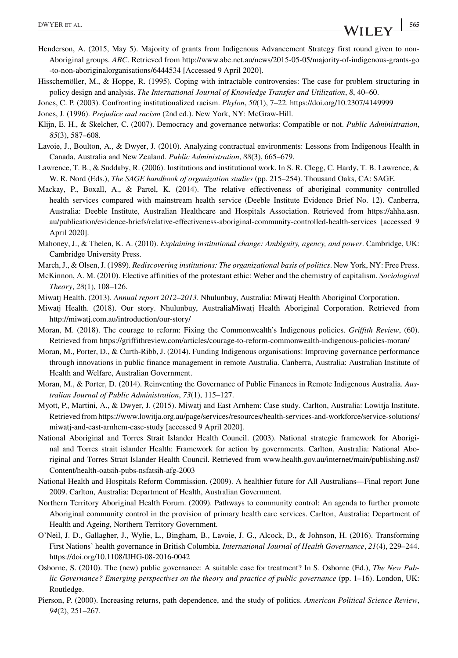- Henderson, A. (2015, May 5). Majority of grants from Indigenous Advancement Strategy first round given to non-Aboriginal groups. *ABC*. Retrieved from [http://www.abc.net.au/news/2015-05-05/majority-of-indigenous-grants-go](http://www.abc.net.au/news/2015-05-05/majority-of-indigenous-grants-go-to-non-aboriginalorganisations/6444534) [-to-non-aboriginalorganisations/6444534](http://www.abc.net.au/news/2015-05-05/majority-of-indigenous-grants-go-to-non-aboriginalorganisations/6444534) [Accessed 9 April 2020].
- Hisschemöller, M., & Hoppe, R. (1995). Coping with intractable controversies: The case for problem structuring in policy design and analysis. *The International Journal of Knowledge Transfer and Utilization*, *8*, 40–60.
- Jones, C. P. (2003). Confronting institutionalized racism. *Phylon*, *50*(1), 7–22.<https://doi.org/10.2307/4149999>
- Jones, J. (1996). *Prejudice and racism* (2nd ed.). New York, NY: McGraw-Hill.
- Klijn, E. H., & Skelcher, C. (2007). Democracy and governance networks: Compatible or not. *Public Administration*, *85*(3), 587–608.
- Lavoie, J., Boulton, A., & Dwyer, J. (2010). Analyzing contractual environments: Lessons from Indigenous Health in Canada, Australia and New Zealand. *Public Administration*, *88*(3), 665–679.
- Lawrence, T. B., & Suddaby, R. (2006). Institutions and institutional work. In S. R. Clegg, C. Hardy, T. B. Lawrence, & W. R. Nord (Eds.), *The SAGE handbook of organization studies* (pp. 215–254). Thousand Oaks, CA: SAGE.
- Mackay, P., Boxall, A., & Partel, K. (2014). The relative effectiveness of aboriginal community controlled health services compared with mainstream health service (Deeble Institute Evidence Brief No. 12). Canberra, Australia: Deeble Institute, Australian Healthcare and Hospitals Association. Retrieved from [https://ahha.asn.](https://ahha.asn.au/publication/evidence-briefs/relative-effectiveness-aboriginal-community-controlled-health-services) [au/publication/evidence-briefs/relative-effectiveness-aboriginal-community-controlled-health-services](https://ahha.asn.au/publication/evidence-briefs/relative-effectiveness-aboriginal-community-controlled-health-services) [accessed 9 April 2020].
- Mahoney, J., & Thelen, K. A. (2010). *Explaining institutional change: Ambiguity, agency, and power*. Cambridge, UK: Cambridge University Press.
- March, J., & Olsen, J. (1989). *Rediscovering institutions: The organizational basis of politics*. New York, NY: Free Press.
- McKinnon, A. M. (2010). Elective affinities of the protestant ethic: Weber and the chemistry of capitalism. *Sociological Theory*, *28*(1), 108–126.
- Miwatj Health. (2013). *Annual report 2012–2013*. Nhulunbuy, Australia: Miwatj Health Aboriginal Corporation.
- Miwatj Health. (2018). Our story. Nhulunbuy, AustraliaMiwatj Health Aboriginal Corporation. Retrieved from <http://miwatj.com.au/introduction/our-story/>
- Moran, M. (2018). The courage to reform: Fixing the Commonwealth's Indigenous policies. *Griffith Review*, (60). Retrieved from<https://griffithreview.com/articles/courage-to-reform-commonwealth-indigenous-policies-moran/>
- Moran, M., Porter, D., & Curth-Ribb, J. (2014). Funding Indigenous organisations: Improving governance performance through innovations in public finance management in remote Australia. Canberra, Australia: Australian Institute of Health and Welfare, Australian Government.
- Moran, M., & Porter, D. (2014). Reinventing the Governance of Public Finances in Remote Indigenous Australia. *Australian Journal of Public Administration*, *73*(1), 115–127.
- Myott, P., Martini, A., & Dwyer, J. (2015). Miwatj and East Arnhem: Case study. Carlton, Australia: Lowitja Institute. Retrieved from [https://www.lowitja.org.au/page/services/resources/health-services-and-workforce/service-solutions/](https://www.lowitja.org.au/page/services/resources/health-services-and-workforce/service-solutions/miwatj-and-east-arnhem-case-study) [miwatj-and-east-arnhem-case-study](https://www.lowitja.org.au/page/services/resources/health-services-and-workforce/service-solutions/miwatj-and-east-arnhem-case-study) [accessed 9 April 2020].
- National Aboriginal and Torres Strait Islander Health Council. (2003). National strategic framework for Aboriginal and Torres strait islander Health: Framework for action by governments. Carlton, Australia: National Aboriginal and Torres Strait Islander Health Council. Retrieved from [www.health.gov.au/internet/main/publishing.nsf/](http://www.health.gov.au/internet/main/publishing.nsf/Content/health-oatsih-pubs-nsfatsih-afg-2003) [Content/health-oatsih-pubs-nsfatsih-afg-2003](http://www.health.gov.au/internet/main/publishing.nsf/Content/health-oatsih-pubs-nsfatsih-afg-2003)
- National Health and Hospitals Reform Commission. (2009). A healthier future for All Australians—Final report June 2009. Carlton, Australia: Department of Health, Australian Government.
- Northern Territory Aboriginal Health Forum. (2009). Pathways to community control: An agenda to further promote Aboriginal community control in the provision of primary health care services. Carlton, Australia: Department of Health and Ageing, Northern Territory Government.
- O'Neil, J. D., Gallagher, J., Wylie, L., Bingham, B., Lavoie, J. G., Alcock, D., & Johnson, H. (2016). Transforming First Nations' health governance in British Columbia. *International Journal of Health Governance*, *21*(4), 229–244. <https://doi.org/10.1108/IJHG-08-2016-0042>
- Osborne, S. (2010). The (new) public governance: A suitable case for treatment? In S. Osborne (Ed.), *The New Public Governance? Emerging perspectives on the theory and practice of public governance* (pp. 1–16). London, UK: Routledge.
- Pierson, P. (2000). Increasing returns, path dependence, and the study of politics. *American Political Science Review*, *94*(2), 251–267.